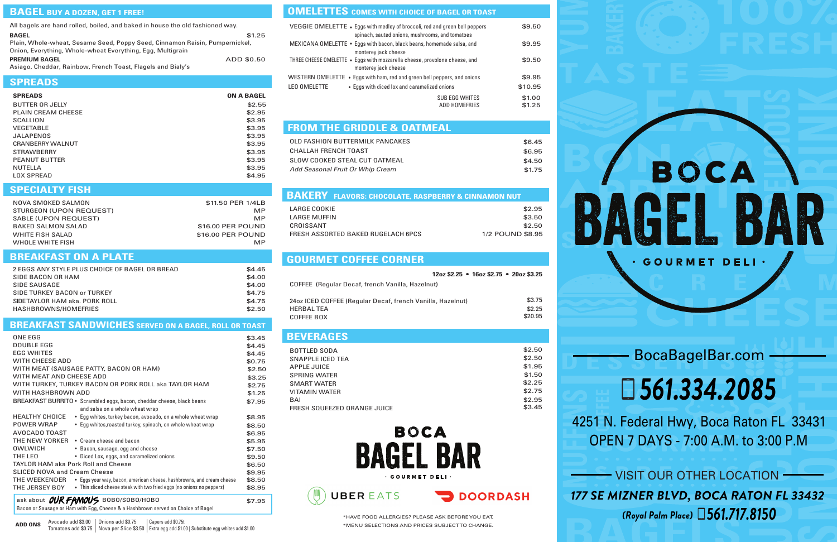### BocaBagelBar.com

BOCA

IGEL B

**GOURMET DELI** 

4251 N. Federal Hwy, Boca Raton FL 33431 OPEN 7 DAYS - 7:00 A.M. to 3:00 P.M

# *561.334.2085*

\*HAVE FOOD ALLERGIES? PLEASE ASK BEFOREYOU EAT. \*MENU SELECTIONS AND PRICES SUBJECTTO CHANGE.

| All bagels are hand rolled, boiled, and baked in house the old fashioned way. |            |
|-------------------------------------------------------------------------------|------------|
| <b>BAGEL</b>                                                                  | \$1.25     |
| Plain, Whole-wheat, Sesame Seed, Poppy Seed, Cinnamon Raisin, Pumpernickel,   |            |
| Onion, Everything, Whole-wheat Everything, Egg, Multigrain                    |            |
| <b>PREMIUM BAGEL</b>                                                          | ADD \$0.50 |
| Asiago Choddar Rainbow, Franch Toget, Flagols and Right's                     |            |

#### **SPREADS**

Asiago, Cheddar, Rainbow, French Toast, Flagels and Bialy's

| <b>SPREADS</b>            | <b>ON A BAGEL</b> |
|---------------------------|-------------------|
| BUTTER OR JELLY           | \$2.55            |
| <b>PLAIN CREAM CHEESE</b> | \$2.95            |
| SCALLION                  | \$3.95            |
| <b>VEGETABLE</b>          | \$3.95            |
| JAI APFNOS                | \$3.95            |
| CRANBERRY WAI NUT         | \$3.95            |
| <b>STRAWBERRY</b>         | \$3.95            |
| <b>PEANUT BUTTER</b>      | \$3.95            |
| <b>NUTELLA</b>            | \$3.95            |
| <b>LOX SPREAD</b>         | \$4.95            |

#### **BREAKFAST SANDWICHES SERVED ON A BAGEL, ROLL OR TOAST**

#### **BREAKFAST ON A PLATE**

| 2 EGGS ANY STYLE PLUS CHOICE OF BAGEL OR BREAD | \$4.45 |
|------------------------------------------------|--------|
| SIDE BACON OR HAM                              | \$4.00 |
| SIDE SAUSAGE                                   | \$4.00 |
| SIDE TURKEY BACON or TURKEY                    | \$4.75 |
| SIDETAYLOR HAM aka. PORK ROLL                  | \$4.75 |
| HASHBROWNS/HOMEFRIES                           | \$2.50 |
|                                                |        |

#### **FROM THE GRIDDLE & OATMEAL**

| <b>BEVERAGES</b>                   |        |
|------------------------------------|--------|
| BOTTLED SODA                       | \$2.50 |
| SNAPPLE ICED TEA                   | \$2.50 |
| APPLE JUICE                        | \$1.95 |
| <b>SPRING WATER</b>                | \$1.50 |
| <b>SMART WATER</b>                 | \$2.25 |
| <b>VITAMIN WATER</b>               | \$2.75 |
| BAI                                | \$2.95 |
| <b>FRESH SQUEEZED ORANGE JUICE</b> | \$3.45 |



**DOORDASH** 

| OLD FASHION BUTTERMILK PANCAKES  | \$6.45 |
|----------------------------------|--------|
| CHALLAH FRENCH TOAST             | \$6.95 |
| SLOW COOKED STEAL CUT OATMEAL    | \$4.50 |
| Add Seasonal Fruit Or Whip Cream | \$1.75 |

Avocado add \$3.00 | Onions add \$0.75 Tomatoes add \$0.75 Nova per Slice \$3.50 Extra egg add \$1.00 | Substitute egg whites add \$1.00 **ADD ONS** Capers add \$0.75t

#### **OMELETTES** COMES WITH CHOICE OF BAGEL OR TOAST

|                                                            | $12oz$ \$2.25 • $16oz$ \$2.75 • $20oz$ \$3.25 |
|------------------------------------------------------------|-----------------------------------------------|
| COFFEE (Regular Decaf, french Vanilla, Hazelnut)           |                                               |
|                                                            | \$3.75                                        |
| 24oz ICED COFFEE (Regular Decaf, french Vanilla, Hazelnut) |                                               |
| <b>HERBAL TEA</b>                                          | \$2.25                                        |
| COFFEE BOX                                                 | \$20.95                                       |

| ONE EGG                                    |                                                                                            | \$3.45 |
|--------------------------------------------|--------------------------------------------------------------------------------------------|--------|
| <b>DOUBLE EGG</b>                          |                                                                                            | \$4.45 |
| <b>EGG WHITES</b>                          |                                                                                            | \$4.45 |
| <b>WITH CHEESE ADD</b>                     |                                                                                            | \$0.75 |
| WITH MEAT (SAUSAGE PATTY, BACON OR HAM)    |                                                                                            | \$2.50 |
| WITH MEAT AND CHEESE ADD                   |                                                                                            | \$3.25 |
|                                            | WITH TURKEY, TURKEY BACON OR PORK ROLL aka TAYLOR HAM                                      | \$2.75 |
| WITH HASHBROWN ADD                         |                                                                                            | \$1.25 |
|                                            | BREAKFAST BURRITO • Scrambled eggs, bacon, cheddar cheese, black beans                     | \$7.95 |
|                                            | and salsa on a whole wheat wrap                                                            |        |
| <b>HEALTHY CHOICE</b>                      | • Egg whites, turkey bacon, avocado, on a whole wheat wrap                                 | \$8.95 |
| <b>POWER WRAP</b>                          | • Egg whites, roasted turkey, spinach, on whole wheat wrap                                 | \$8.50 |
| AVOCADO TOAST                              |                                                                                            | \$6.95 |
| THE NEW YORKER                             | • Cream cheese and bacon                                                                   | \$5.95 |
| OWI WICH                                   | • Bacon, sausage, egg and cheese                                                           | \$7.50 |
| THE LEO                                    | • Diced Lox, eggs, and caramelized onions                                                  | \$9.50 |
| <b>TAYLOR HAM aka Pork Roll and Cheese</b> |                                                                                            | \$6.50 |
| <b>SLICED NOVA and Cream Cheese</b>        |                                                                                            | \$9.95 |
|                                            | <b>THE WEEKENDER</b> • Eggs your way, bacon, american cheese, hashbrowns, and cream cheese | \$8.50 |
| THE JERSEY BOY                             | • Thin sliced cheese steak with two fried eggs (no onions no peppers)                      | \$8.95 |
| ask about OUR FAMOUS                       | B0B0/S0B0/H0B0                                                                             | \$7.95 |
|                                            | Bacon or Sausage or Ham with Egg, Cheese & a Hashbrown served on Choice of Bagel           |        |
|                                            |                                                                                            |        |

| <b>BAKERY FLAVORS: CHOCOLATE, RASPBERRY &amp; CINNAMON NUT</b> |                  |
|----------------------------------------------------------------|------------------|
| LARGE COOKIE                                                   | \$2.95           |
| LARGE MUFFIN                                                   | \$3.50           |
| CROISSANT                                                      | \$2.50           |
| FRESH ASSORTED BAKED RUGELACH 6PCS                             | 1/2 POUND \$8.95 |

#### **SPECIALTY FISH**

| NOVA SMOKED SALMON      | \$11.50 PER 1/4LB |
|-------------------------|-------------------|
| STURGEON (UPON REQUEST) | MP                |
| SABLE (UPON REQUEST)    | MP                |
| BAKED SALMON SALAD      | \$16,00 PER POUND |
| WHITE FISH SALAD        | \$16,00 PER POUND |
| WHOLE WHITE FISH        | MP                |

| VEGGIE OMELETTE • Eggs with medley of broccoli, red and green bell peppers<br>spinach, sauted onions, mushrooms, and tomatoes | \$9.50                                                            |
|-------------------------------------------------------------------------------------------------------------------------------|-------------------------------------------------------------------|
| MEXICANA OMELETTE • Eggs with bacon, black beans, homemade salsa, and<br>monterey jack cheese                                 | \$9.95                                                            |
| THREE CHEESE OMELETTE . Eggs with mozzarella cheese, provolone cheese, and<br>monterey jack cheese                            | \$9.50                                                            |
| WESTERN OMELETTE • Eggs with ham, red and green bell peppers, and onions                                                      | \$9.95                                                            |
| LEO OMELETTE<br>• Eggs with diced lox and caramelized onions                                                                  | \$10.95                                                           |
|                                                                                                                               | <b>SUB EGG WHITES</b><br>\$1.00<br><b>ADD HOMEFRIES</b><br>\$1.25 |

#### **GOURMET COFFEE CORNER**

**UBEREATS** 

#### **BAGEL BUY A DOZEN, GET 1 FREE!**

*177 SE MIZNER BLVD, BOCA RATON FL 33432* - VISIT OUR OTHER LOCATION - *(Royal Palm Place) 561.717.8150*